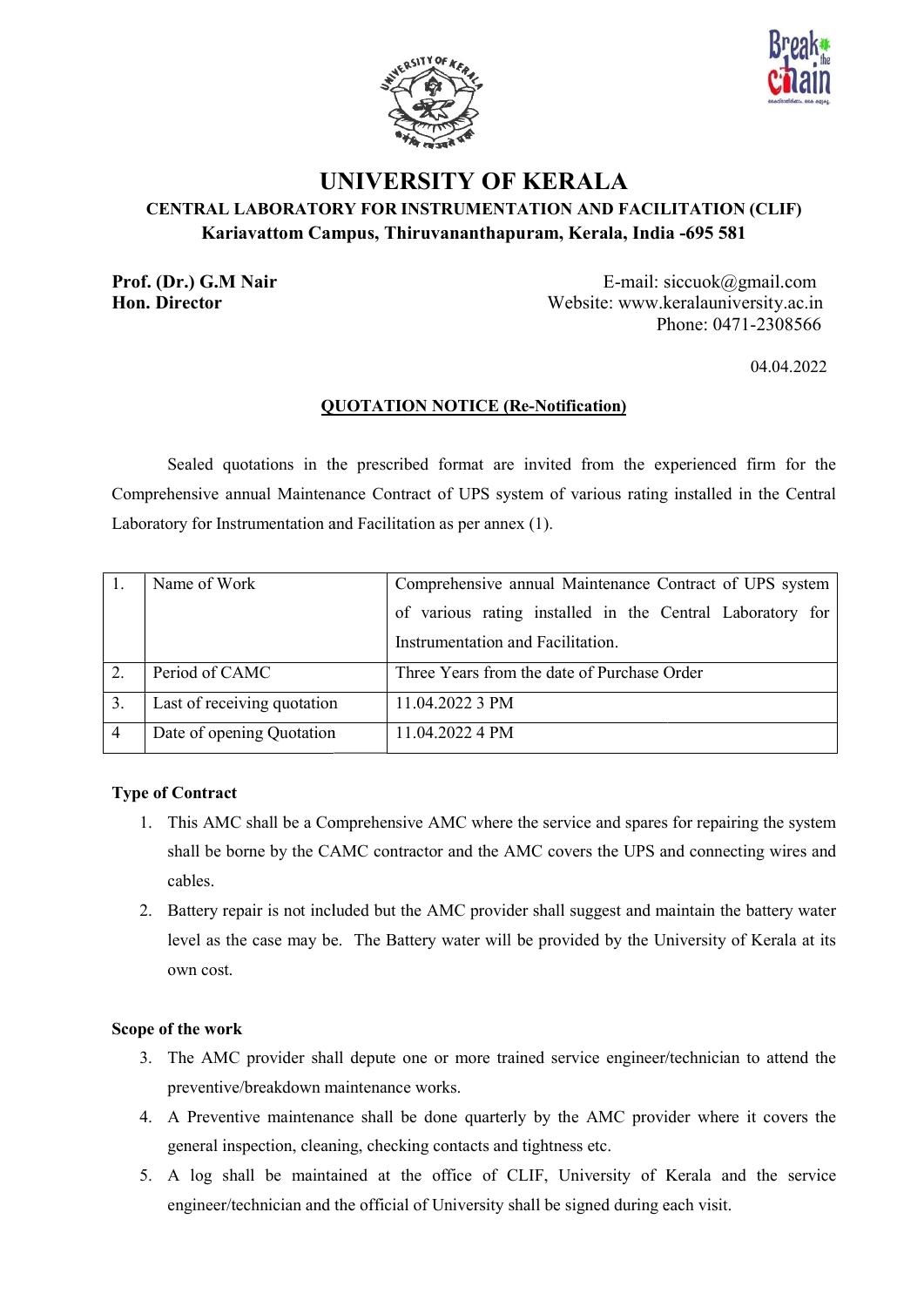



# UNIVERSITY OF KERALA CENTRAL LABORATORY FOR INSTRUMENTATION AND FACILITATION (CLIF) LABORATORY FOR Kariavattom Campus, Thiruvananthapuram, Kerala, India Thiruvananthapuram, Kerala, India E-mail: siccuok@gmail.com -695 581

Prof. (Dr.) G.M Nair Hon. Director

 Website: www.keralauniversity.ac.in Phone: 0471-2308566

04.04.2022

# **QUOTATION NOTICE (Re-Notification)**

Sealed quotations in the prescribed format are invited from the experienced firm for the Comprehensive annual Maintenance Contract of UPS system of various rating Laboratory for Instrumentation and Facilitation as per annex (1). quotations in the prescribed format are invited from the experienced firm for the<br>annual Maintenance Contract of UPS system of various rating installed in the Central<br>astrumentation and Facilitation as per annex (1).<br>Vork installed in the Central

|                | Name of Work                | Comprehensive annual Maintenance Contract of UPS system   |
|----------------|-----------------------------|-----------------------------------------------------------|
|                |                             | of various rating installed in the Central Laboratory for |
|                |                             | Instrumentation and Facilitation.                         |
| 2.             | Period of CAMC              | Three Years from the date of Purchase Order               |
| 3.             | Last of receiving quotation | 11.04.2022 3 PM                                           |
| $\overline{4}$ | Date of opening Quotation   | 11.04.2022 4 PM                                           |

# Type of Contract

- 1. This AMC shall be a Comprehensive AMC where the service and spares for repairing the system shall be borne by the CAMC contractor and the AMC covers the UPS and connecting wires and cables. AMC shall be a Comprehensive AMC where the service and spares for repairing the system<br>be borne by the CAMC contractor and the AMC covers the UPS and connecting wires and<br>s.<br>ry repair is not included but the AMC provider s
- 2. Battery repair is not included but the AMC provider shall suggest and maintain the battery water level as the case may be. The Battery water will be provided by the University of Kerala at its own cost.

# Scope of the work

- 3. The AMC provider shall depute one or more trained service engineer/technician to attend the preventive/breakdown maintenance works. ater will be p<br>more trained<br>s.<br>e quarterly b:<br>tacts and tigl<br>ice of CLIF<br>iversity shall
- 4. A Preventive maintenance shall be done quarterly by the AMC provider where it covers the general inspection, cleaning, checking contacts and tightness etc.
- general inspection, cleaning, checking contacts and tightness etc.<br>5. A log shall be maintained at the office of CLIF, University of Kerala and the service engineer/technician and the official of University shall be signed during each visit.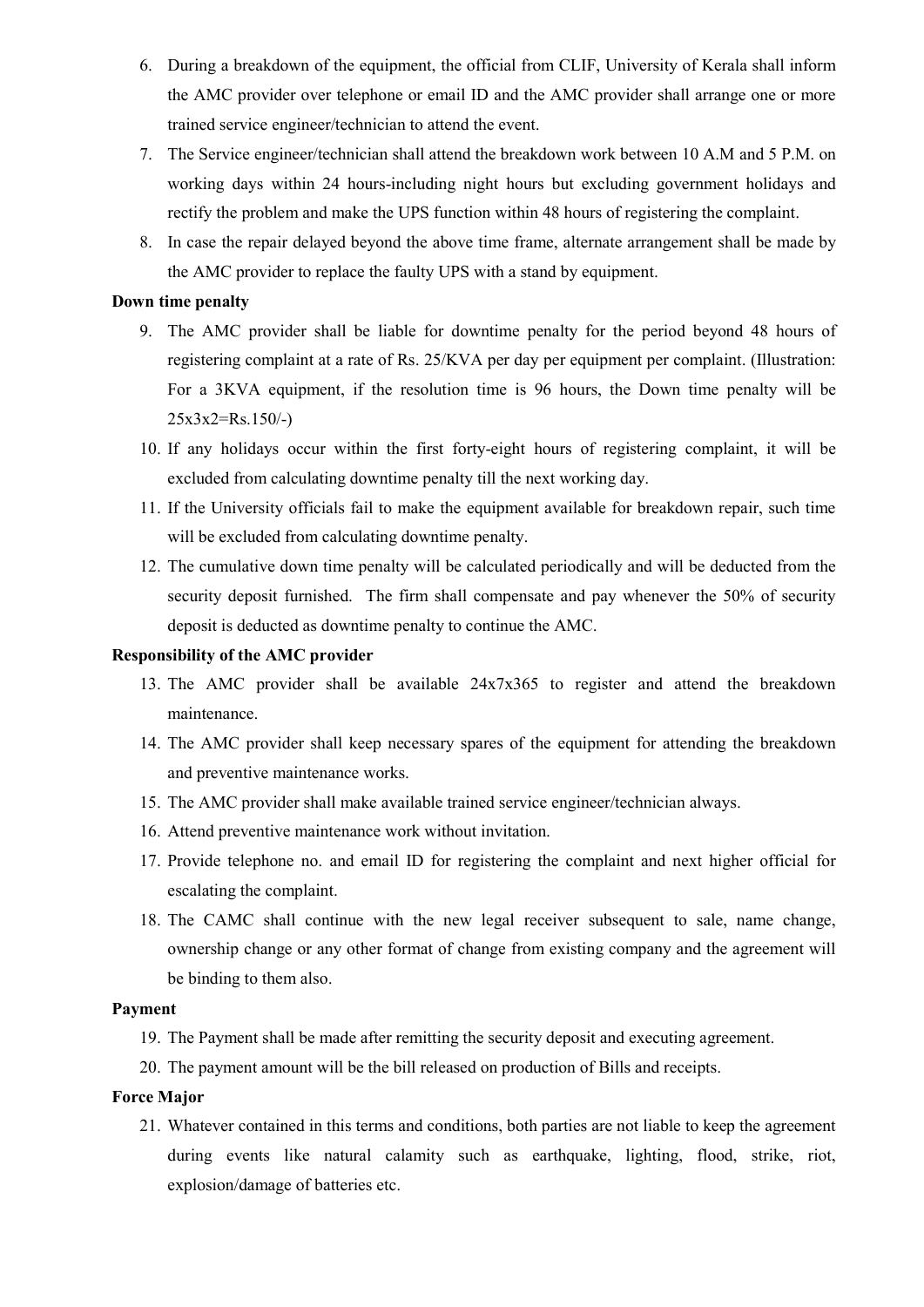- 6. During a breakdown of the equipment, the official from CLIF, University of Kerala shall inform the AMC provider over telephone or email ID and the AMC provider shall arrange one or more trained service engineer/technician to attend the event.
- 7. The Service engineer/technician shall attend the breakdown work between 10 A.M and 5 P.M. on working days within 24 hours-including night hours but excluding government holidays and rectify the problem and make the UPS function within 48 hours of registering the complaint.
- 8. In case the repair delayed beyond the above time frame, alternate arrangement shall be made by the AMC provider to replace the faulty UPS with a stand by equipment.

#### Down time penalty

- 9. The AMC provider shall be liable for downtime penalty for the period beyond 48 hours of registering complaint at a rate of Rs. 25/KVA per day per equipment per complaint. (Illustration: For a 3KVA equipment, if the resolution time is 96 hours, the Down time penalty will be  $25x3x2=Rs.150/-$
- 10. If any holidays occur within the first forty-eight hours of registering complaint, it will be excluded from calculating downtime penalty till the next working day.
- 11. If the University officials fail to make the equipment available for breakdown repair, such time will be excluded from calculating downtime penalty.
- 12. The cumulative down time penalty will be calculated periodically and will be deducted from the security deposit furnished. The firm shall compensate and pay whenever the 50% of security deposit is deducted as downtime penalty to continue the AMC.

## Responsibility of the AMC provider

- 13. The AMC provider shall be available 24x7x365 to register and attend the breakdown maintenance.
- 14. The AMC provider shall keep necessary spares of the equipment for attending the breakdown and preventive maintenance works.
- 15. The AMC provider shall make available trained service engineer/technician always.
- 16. Attend preventive maintenance work without invitation.
- 17. Provide telephone no. and email ID for registering the complaint and next higher official for escalating the complaint.
- 18. The CAMC shall continue with the new legal receiver subsequent to sale, name change, ownership change or any other format of change from existing company and the agreement will be binding to them also.

## Payment

- 19. The Payment shall be made after remitting the security deposit and executing agreement.
- 20. The payment amount will be the bill released on production of Bills and receipts.

## Force Major

21. Whatever contained in this terms and conditions, both parties are not liable to keep the agreement during events like natural calamity such as earthquake, lighting, flood, strike, riot, explosion/damage of batteries etc.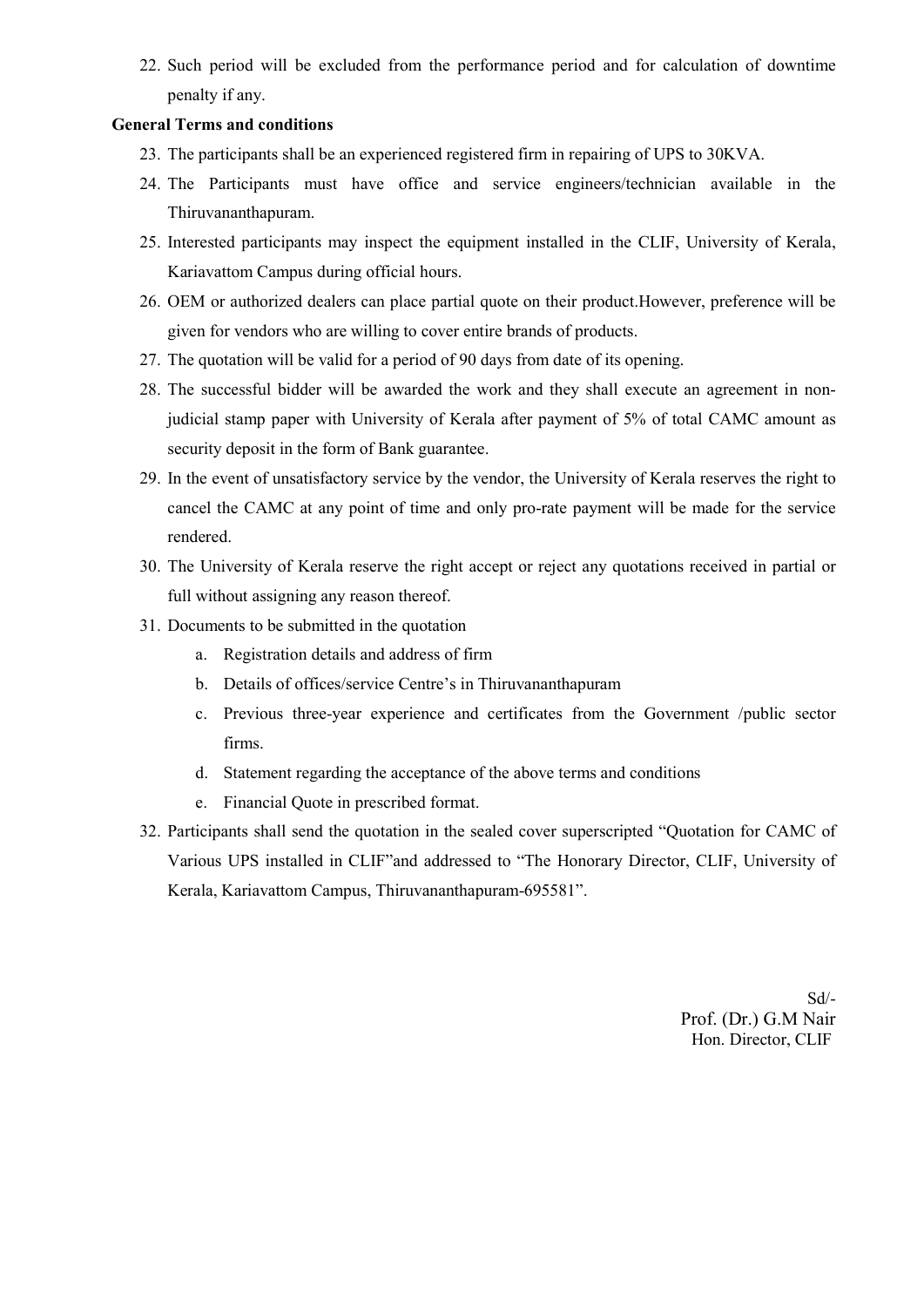22. Such period will be excluded from the performance period and for calculation of downtime penalty if any.

# General Terms and conditions

- 23. The participants shall be an experienced registered firm in repairing of UPS to 30KVA.
- 24. The Participants must have office and service engineers/technician available in the Thiruvananthapuram.
- 25. Interested participants may inspect the equipment installed in the CLIF, University of Kerala, Kariavattom Campus during official hours.
- 26. OEM or authorized dealers can place partial quote on their product.However, preference will be given for vendors who are willing to cover entire brands of products.
- 27. The quotation will be valid for a period of 90 days from date of its opening.
- 28. The successful bidder will be awarded the work and they shall execute an agreement in nonjudicial stamp paper with University of Kerala after payment of 5% of total CAMC amount as security deposit in the form of Bank guarantee.
- 29. In the event of unsatisfactory service by the vendor, the University of Kerala reserves the right to cancel the CAMC at any point of time and only pro-rate payment will be made for the service rendered.
- 30. The University of Kerala reserve the right accept or reject any quotations received in partial or full without assigning any reason thereof.
- 31. Documents to be submitted in the quotation
	- a. Registration details and address of firm
	- b. Details of offices/service Centre's in Thiruvananthapuram
	- c. Previous three-year experience and certificates from the Government /public sector firms.
	- d. Statement regarding the acceptance of the above terms and conditions
	- e. Financial Quote in prescribed format.
- 32. Participants shall send the quotation in the sealed cover superscripted "Quotation for CAMC of Various UPS installed in CLIF"and addressed to "The Honorary Director, CLIF, University of Kerala, Kariavattom Campus, Thiruvananthapuram-695581".

Sd/- Prof. (Dr.) G.M Nair Hon. Director, CLIF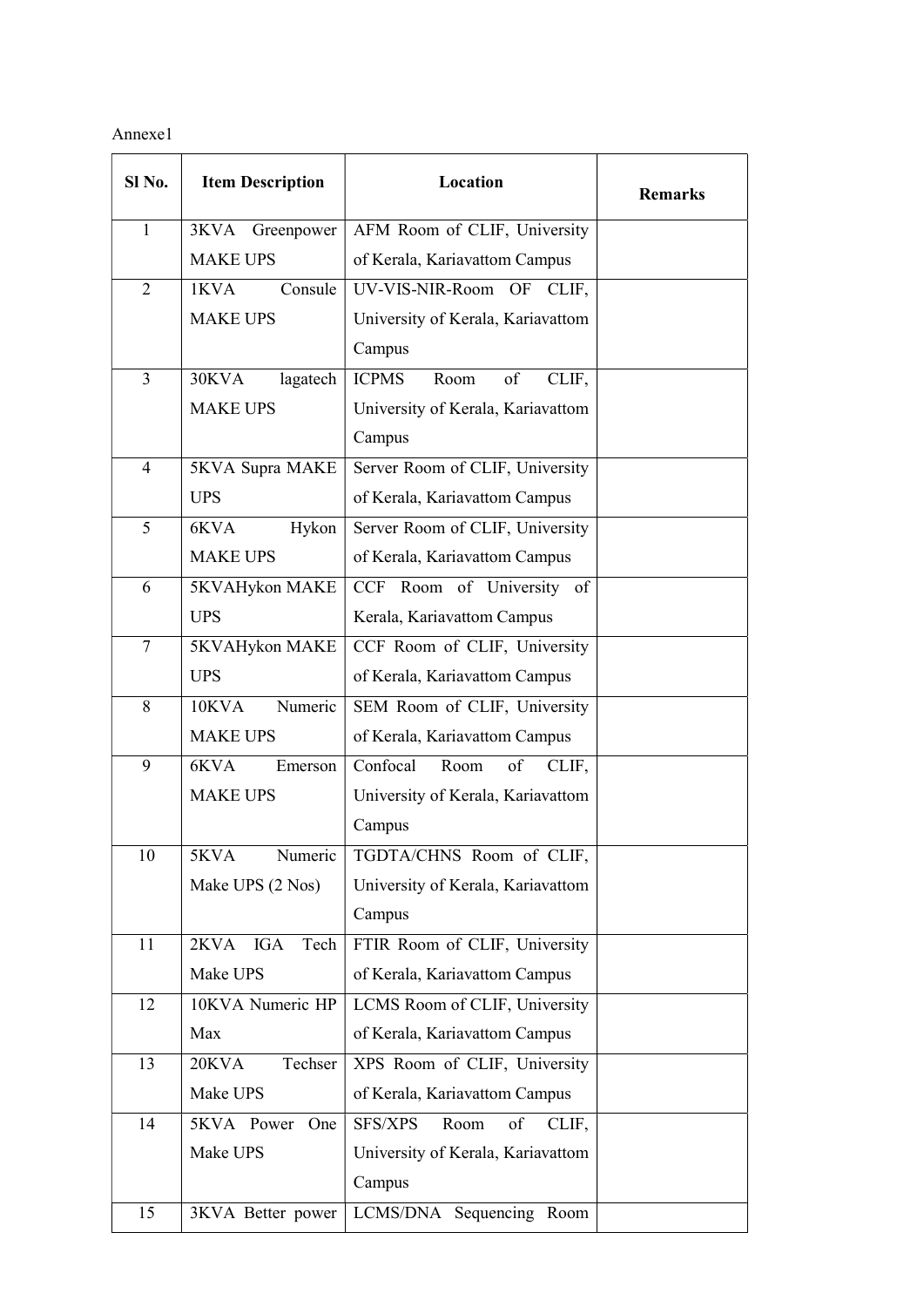Annexe1

| Sl No.         | <b>Item Description</b> | Location                              | <b>Remarks</b> |
|----------------|-------------------------|---------------------------------------|----------------|
| $\mathbf{1}$   | 3KVA<br>Greenpower      | AFM Room of CLIF, University          |                |
|                | <b>MAKE UPS</b>         | of Kerala, Kariavattom Campus         |                |
| $\overline{2}$ | 1KVA<br>Consule         | UV-VIS-NIR-Room OF CLIF,              |                |
|                | <b>MAKE UPS</b>         | University of Kerala, Kariavattom     |                |
|                |                         | Campus                                |                |
| $\overline{3}$ | 30KVA<br>lagatech       | <b>ICPMS</b><br>Room<br>of<br>CLIF,   |                |
|                | <b>MAKE UPS</b>         | University of Kerala, Kariavattom     |                |
|                |                         | Campus                                |                |
| 4              | 5KVA Supra MAKE         | Server Room of CLIF, University       |                |
|                | <b>UPS</b>              | of Kerala, Kariavattom Campus         |                |
| 5              | 6KVA<br>Hykon           | Server Room of CLIF, University       |                |
|                | <b>MAKE UPS</b>         | of Kerala, Kariavattom Campus         |                |
| 6              | 5KVAHykon MAKE          | CCF Room of University of             |                |
|                | <b>UPS</b>              | Kerala, Kariavattom Campus            |                |
| $\tau$         | 5KVAHykon MAKE          | CCF Room of CLIF, University          |                |
|                | <b>UPS</b>              | of Kerala, Kariavattom Campus         |                |
| 8              | Numeric<br>10KVA        | SEM Room of CLIF, University          |                |
|                | <b>MAKE UPS</b>         | of Kerala, Kariavattom Campus         |                |
| 9              | 6KVA<br>Emerson         | Confocal<br>of<br>Room<br>CLIF,       |                |
|                | <b>MAKE UPS</b>         | University of Kerala, Kariavattom     |                |
|                |                         | Campus                                |                |
| 10             | 5KVA<br>Numeric         | TGDTA/CHNS Room of CLIF,              |                |
|                | Make UPS (2 Nos)        | University of Kerala, Kariavattom     |                |
|                |                         | Campus                                |                |
| 11             | 2KVA IGA<br>Tech        | FTIR Room of CLIF, University         |                |
|                | Make UPS                | of Kerala, Kariavattom Campus         |                |
| 12             | 10KVA Numeric HP        | LCMS Room of CLIF, University         |                |
|                | Max                     | of Kerala, Kariavattom Campus         |                |
| 13             | Techser<br>20KVA        | XPS Room of CLIF, University          |                |
|                | Make UPS                | of Kerala, Kariavattom Campus         |                |
| 14             | 5KVA Power<br>One       | <b>SFS/XPS</b><br>Room<br>of<br>CLIF, |                |
|                | Make UPS                | University of Kerala, Kariavattom     |                |
|                |                         | Campus                                |                |
| 15             | 3KVA Better power       | LCMS/DNA Sequencing Room              |                |